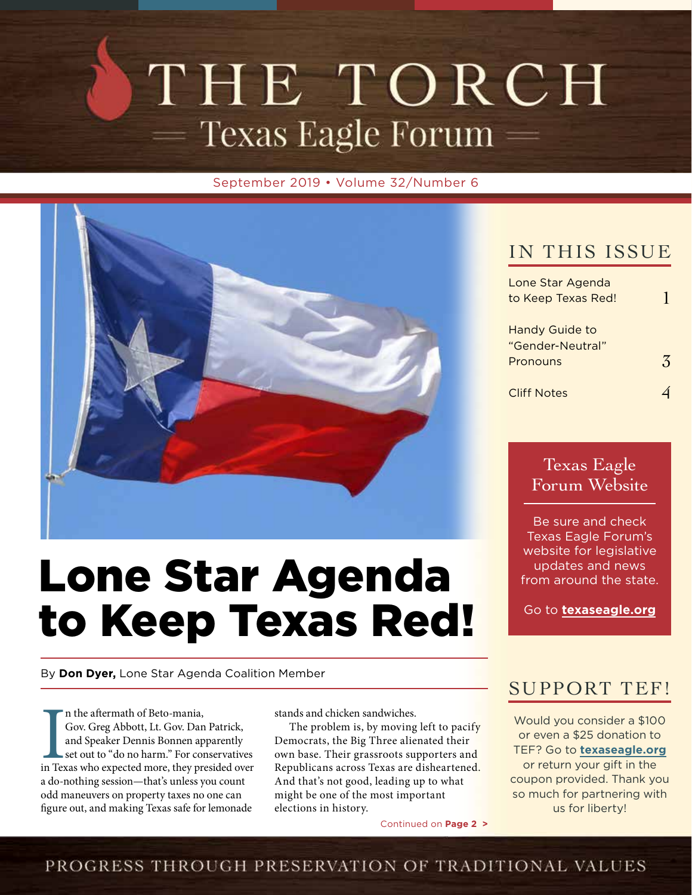# THE TORCH — Texas Eagle Forum —

September 2019 • Volume 32/Number 6



# Lone Star Agenda to Keep Texas Red!

By **Don Dyer,** Lone Star Agenda Coalition Member

In the aftermath of Beto-mania,<br>Gov. Greg Abbott, Lt. Gov. Dan Patrick,<br>and Speaker Dennis Bonnen apparently<br>set out to "do no harm." For conservatives<br>in Texas who expected more, they presided over n the aftermath of Beto-mania, Gov. Greg Abbott, Lt. Gov. Dan Patrick, and Speaker Dennis Bonnen apparently set out to "do no harm." For conservatives a do-nothing session—that's unless you count odd maneuvers on property taxes no one can figure out, and making Texas safe for lemonade

stands and chicken sandwiches.

The problem is, by moving left to pacify Democrats, the Big Three alienated their own base. Their grassroots supporters and Republicans across Texas are disheartened. And that's not good, leading up to what might be one of the most important elections in history.

Continued on **Page 2 >**

## IN THIS ISSUE

| Lone Star Agenda      |  |
|-----------------------|--|
| to Keep Texas Red!    |  |
| <b>Handy Guide to</b> |  |
|                       |  |
| "Gender-Neutral"      |  |
| Pronouns              |  |
|                       |  |
| Cliff Notes           |  |
|                       |  |

Texas Eagle Forum Website

Be sure and check Texas Eagle Forum's website for legislative updates and news from around the state.

Go to **texaseagle.org**

### SUPPORT TEF!

Would you consider a \$100 or even a \$25 donation to TEF? Go to **texaseagle.org** or return your gift in the coupon provided. Thank you so much for partnering with us for liberty!

### PROGRESS THROUGH PRESERVATION OF TRADITIONAL VALUES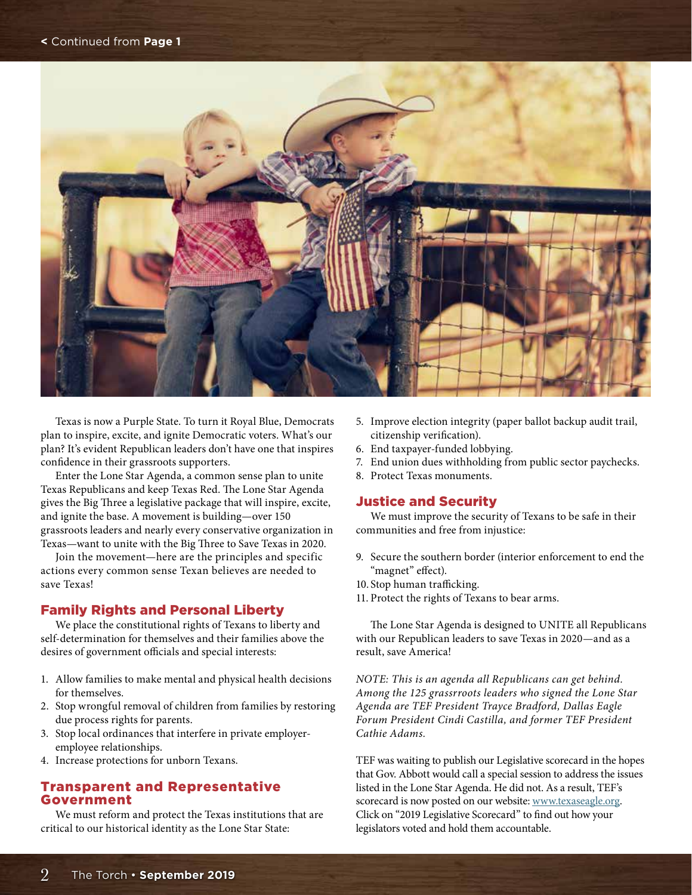

Texas is now a Purple State. To turn it Royal Blue, Democrats plan to inspire, excite, and ignite Democratic voters. What's our plan? It's evident Republican leaders don't have one that inspires confidence in their grassroots supporters.

Enter the Lone Star Agenda, a common sense plan to unite Texas Republicans and keep Texas Red. The Lone Star Agenda gives the Big Three a legislative package that will inspire, excite, and ignite the base. A movement is building—over 150 grassroots leaders and nearly every conservative organization in Texas—want to unite with the Big Three to Save Texas in 2020.

Join the movement—here are the principles and specific actions every common sense Texan believes are needed to save Texas!

### Family Rights and Personal Liberty

We place the constitutional rights of Texans to liberty and self-determination for themselves and their families above the desires of government officials and special interests:

- 1. Allow families to make mental and physical health decisions for themselves.
- 2. Stop wrongful removal of children from families by restoring due process rights for parents.
- 3. Stop local ordinances that interfere in private employeremployee relationships.
- 4. Increase protections for unborn Texans.

### Transparent and Representative Government

We must reform and protect the Texas institutions that are critical to our historical identity as the Lone Star State:

- 5. Improve election integrity (paper ballot backup audit trail, citizenship verification).
- 6. End taxpayer-funded lobbying.
- 7. End union dues withholding from public sector paychecks.
- 8. Protect Texas monuments.

#### Justice and Security

We must improve the security of Texans to be safe in their communities and free from injustice:

- 9. Secure the southern border (interior enforcement to end the "magnet" effect).
- 10. Stop human trafficking.
- 11. Protect the rights of Texans to bear arms.

The Lone Star Agenda is designed to UNITE all Republicans with our Republican leaders to save Texas in 2020—and as a result, save America!

*NOTE: This is an agenda all Republicans can get behind. Among the 125 grassrroots leaders who signed the Lone Star Agenda are TEF President Trayce Bradford, Dallas Eagle Forum President Cindi Castilla, and former TEF President Cathie Adams.* 

TEF was waiting to publish our Legislative scorecard in the hopes that Gov. Abbott would call a special session to address the issues listed in the Lone Star Agenda. He did not. As a result, TEF's scorecard is now posted on our website: www.texaseagle.org. Click on "2019 Legislative Scorecard" to find out how your legislators voted and hold them accountable.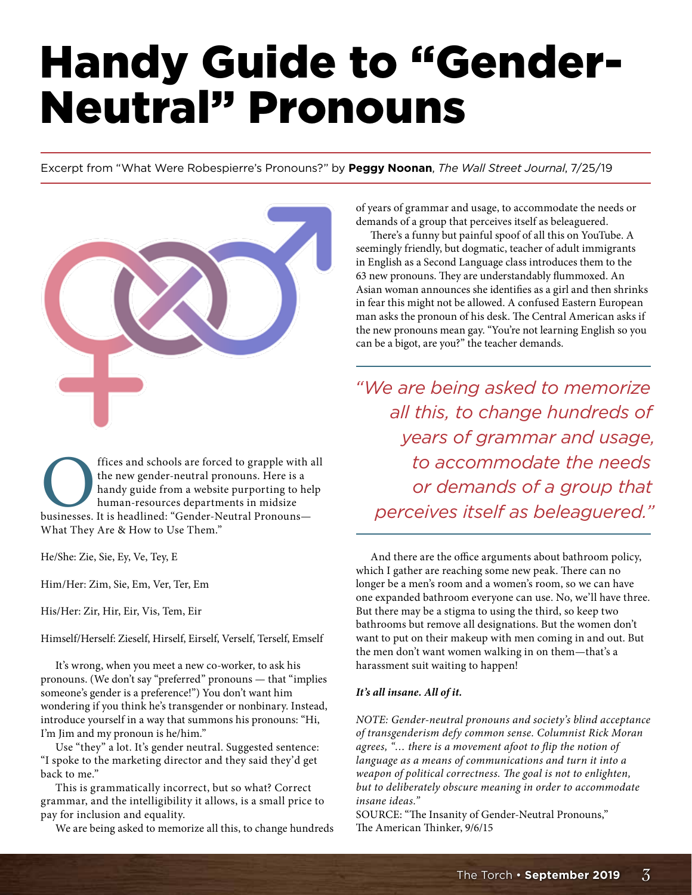# Handy Guide to "Gender-Neutral" Pronouns

Excerpt from "What Were Robespierre's Pronouns?" by **Peggy Noonan**, *The Wall Street Journal*, 7/25/19



offices and schools are forced to grapple with all the new gender-neutral pronouns. Here is a handy guide from a website purporting to help human-resources departments in midsize businesses. It is headlined: "Gender-Neutra the new gender-neutral pronouns. Here is a handy guide from a website purporting to help human-resources departments in midsize What They Are & How to Use Them."

He/She: Zie, Sie, Ey, Ve, Tey, E

Him/Her: Zim, Sie, Em, Ver, Ter, Em

His/Her: Zir, Hir, Eir, Vis, Tem, Eir

Himself/Herself: Zieself, Hirself, Eirself, Verself, Terself, Emself

It's wrong, when you meet a new co-worker, to ask his pronouns. (We don't say "preferred" pronouns — that "implies someone's gender is a preference!") You don't want him wondering if you think he's transgender or nonbinary. Instead, introduce yourself in a way that summons his pronouns: "Hi, I'm Jim and my pronoun is he/him."

Use "they" a lot. It's gender neutral. Suggested sentence: "I spoke to the marketing director and they said they'd get back to me."

This is grammatically incorrect, but so what? Correct grammar, and the intelligibility it allows, is a small price to pay for inclusion and equality.

We are being asked to memorize all this, to change hundreds

of years of grammar and usage, to accommodate the needs or demands of a group that perceives itself as beleaguered.

There's a funny but painful spoof of all this on YouTube. A seemingly friendly, but dogmatic, teacher of adult immigrants in English as a Second Language class introduces them to the 63 new pronouns. They are understandably flummoxed. An Asian woman announces she identifies as a girl and then shrinks in fear this might not be allowed. A confused Eastern European man asks the pronoun of his desk. The Central American asks if the new pronouns mean gay. "You're not learning English so you can be a bigot, are you?" the teacher demands.

*"We are being asked to memorize all this, to change hundreds of years of grammar and usage, to accommodate the needs or demands of a group that perceives itself as beleaguered."*

And there are the office arguments about bathroom policy, which I gather are reaching some new peak. There can no longer be a men's room and a women's room, so we can have one expanded bathroom everyone can use. No, we'll have three. But there may be a stigma to using the third, so keep two bathrooms but remove all designations. But the women don't want to put on their makeup with men coming in and out. But the men don't want women walking in on them—that's a harassment suit waiting to happen!

#### *It's all insane. All of it.*

*NOTE: Gender-neutral pronouns and society's blind acceptance of transgenderism defy common sense. Columnist Rick Moran agrees, "… there is a movement afoot to flip the notion of language as a means of communications and turn it into a weapon of political correctness. The goal is not to enlighten, but to deliberately obscure meaning in order to accommodate insane ideas."*

SOURCE: "The Insanity of Gender-Neutral Pronouns," The American Thinker, 9/6/15